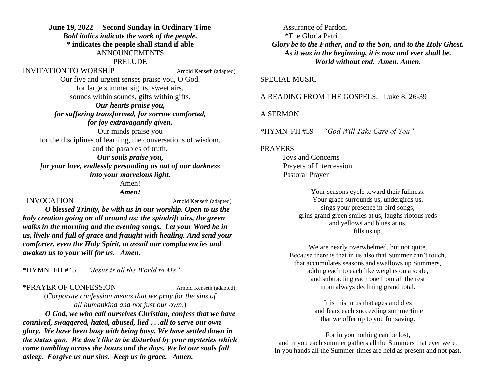# **June 19, 2022 Second Sunday in Ordinary Time** *Bold italics indicate the work of the people.* **\* indicates the people shall stand if able**

# ANNOUNCEMENTS

#### PRELUDE

### INVITATION TO WORSHIP Arnold Kenseth (adapted)

Our five and urgent senses praise you, O God. for large summer sights, sweet airs, sounds within sounds, gifts within gifts.

## *Our hearts praise you, for suffering transformed, for sorrow comforted, for joy extravagantly given.*

Our minds praise you for the disciplines of learning, the conversations of wisdom, and the parables of truth. *Our souls praise you,*

*for your love, endlessly persuading us out of our darkness into your marvelous light.*

> Amen! *Amen!*

### INVOCATION Arnold Kenseth (adapted)

*O blessed Trinity, be with us in our worship. Open to us the holy creation going on all around us: the spindrift airs, the green walks in the morning and the evening songs. Let your Word be in us, lively and full of grace and fraught with healing. And send your comforter, even the Holy Spirit, to assail our complacencies and awaken us to your will for us. Amen.*

\*HYMN FH #45 *"Jesus is all the World to Me"*

#### \*PRAYER OF CONFESSION Arnold Kenseth (adapted);

(*Corporate confession means that we pray for the sins of all humankind and not just our own*.)

*O God, we who call ourselves Christian, confess that we have connived, swaggered, hated, abused, lied . . .all to serve our own glory. We have been busy with being busy. We have settled down in the status quo. We don't like to be disturbed by your mysteries which come tumbling across the hours and the days. We let our souls fall asleep. Forgive us our sins. Keep us in grace. Amen.*

Assurance of Pardon. **\***The Gloria Patri *Glory be to the Father, and to the Son, and to the Holy Ghost. As it was in the beginning, it is now and ever shall be. World without end. Amen. Amen.*

### SPECIAL MUSIC

A READING FROM THE GOSPELS: Luke 8: 26-39

#### A SERMON

\*HYMN FH #59 *"God Will Take Care of You"*

#### PRAYERS

Joys and Concerns Prayers of Intercession Pastoral Prayer

> Your seasons cycle toward their fullness. Your grace surrounds us, undergirds us, sings your presence in bird songs, grins grand green smiles at us, laughs riotous reds and yellows and blues at us, fills us up.

We are nearly overwhelmed, but not quite. Because there is that in us also that Summer can't touch, that accumulates seasons and swallows up Summers, adding each to each like weights on a scale, and subtracting each one from all the rest in an always declining grand total.

> It is this in us that ages and dies and fears each succeeding summertime that we offer up to you for saving.

For in you nothing can be lost, and in you each summer gathers all the Summers that ever were. In you hands all the Summer-times are held as present and not past.